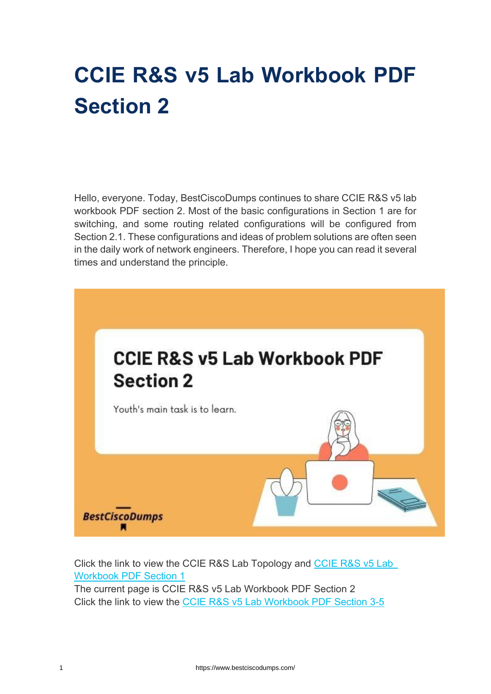# **CCIE R&S v5 Lab Workbook PDF Section 2**

Hello, everyone. Today, BestCiscoDumps continues to share CCIE R&S v5 lab workbook PDF section 2. Most of the basic configurations in Section 1 are for switching, and some routing related configurations will be configured from Section 2.1. These configurations and ideas of problem solutions are often seen in the daily work of network engineers. Therefore, I hope you can read it several times and understand the principle.



Click the link to view the CCIE R&S Lab Topology and [CCIE R&S v5 Lab](https://www.bestciscodumps.com/news/ccie-r-s-lab-dumps-free-download-section-1)  [Workbook PDF Section 1](https://www.bestciscodumps.com/news/ccie-r-s-lab-dumps-free-download-section-1) The current page is CCIE R&S v5 Lab Workbook PDF Section 2 Click the link to view the [CCIE R&S v5 Lab Workbook PDF Section 3-5](https://www.bestciscodumps.com/news/ccie-r-s-mock-lab-dumps-section-3-5)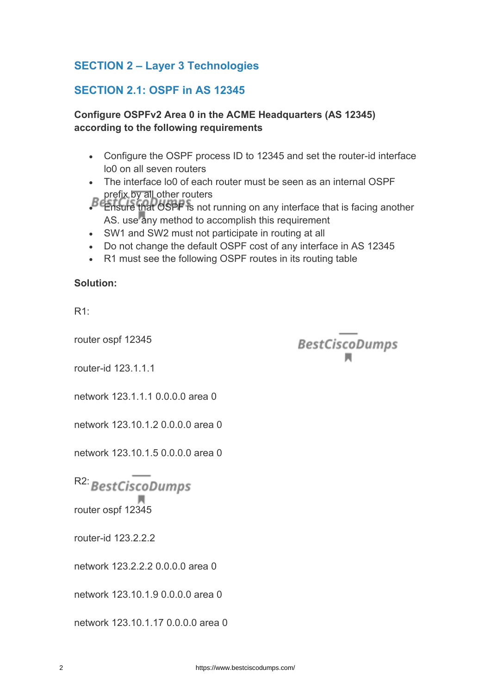# **SECTION 2 – Layer 3 Technologies**

## **SECTION 2.1: OSPF in AS 12345**

#### **Configure OSPFv2 Area 0 in the ACME Headquarters (AS 12345) according to the following requirements**

- Configure the OSPF process ID to 12345 and set the router-id interface lo0 on all seven routers
- The interface lo0 of each router must be seen as an internal OSPF prefix by all other routers
- Ensure that OSPF is not running on any interface that is facing another AS. use any method to accomplish this requirement

**BestCiscoDumps** 

- SW1 and SW2 must not participate in routing at all
- Do not change the default OSPF cost of any interface in AS 12345
- R1 must see the following OSPF routes in its routing table

#### **Solution:**

R1:

router ospf 12345

router-id 123.1.1.1

network 123.1.1.1.0.0.0.0 area 0

network 123.10.1.2 0.0.0.0 area 0

network 123.10.1.5 0.0.0.0 area 0

R<sub>2</sub>: BestCiscoDumps

router ospf 12345

router-id 123.2.2.2

network 123.2.2.2 0.0.0.0 area 0

network 123.10.1.9 0.0.0.0 area 0

network 123.10.1.17 0.0.0.0 area 0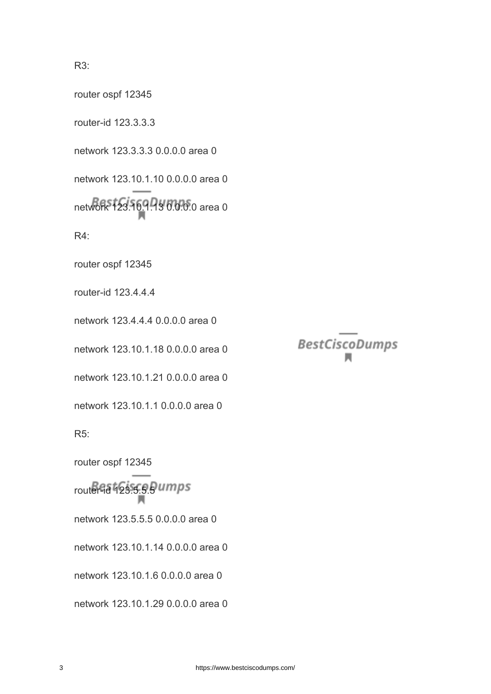R3:

router ospf 12345

router-id 123.3.3.3 network 123.3.3.3 0.0.0.0 area 0 network 123.10.1.10 0.0.0.0 area 0 network 123.16.9.9.3 0.0.0.0 area 0 R4: router ospf 12345 router-id 123.4.4.4 network 123.4.4.4 0.0.0.0 area 0 network 123.10.1.18 0.0.0.0 area 0 network 123.10.1.21 0.0.0.0 area 0 network 123.10.1.1 0.0.0.0 area 0 R5: router ospf 12345 router-id 123.5.5.9 umps network 123.5.5.5 0.0.0.0 area 0 network 123.10.1.14 0.0.0.0 area 0 network 123.10.1.6 0.0.0.0 area 0 network 123.10.1.29 0.0.0.0 area 0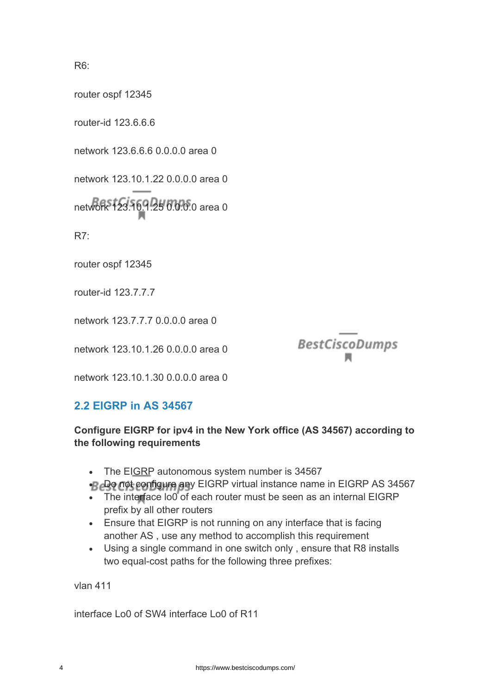R6:

router ospf 12345

router-id 123.6.6.6

network 123.6.6.6 0.0.0.0 area 0

network 123.10.1.22 0.0.0.0 area 0

network 123.10.1.25 0.0.0.0 area 0

R7:

router ospf 12345

router-id 123.7.7.7

network 123.7.7.7 0.0.0.0 area 0

network 123.10.1.26 0.0.0.0 area 0

**BestCiscoDumps** 

network 123.10.1.30 0.0.0.0 area 0

## **2.2 EIGRP in AS 34567**

#### **Configure EIGRP for ipv4 in the New York office (AS 34567) according to the following requirements**

- The EIGRP autonomous system number is 34567
- B Do not configure any EIGRP virtual instance name in EIGRP AS 34567
- The interface lo0 of each router must be seen as an internal EIGRP prefix by all other routers
- Ensure that EIGRP is not running on any interface that is facing another AS , use any method to accomplish this requirement
- Using a single command in one switch only , ensure that R8 installs two equal-cost paths for the following three prefixes:

vlan 411

interface Lo0 of SW4 interface Lo0 of R11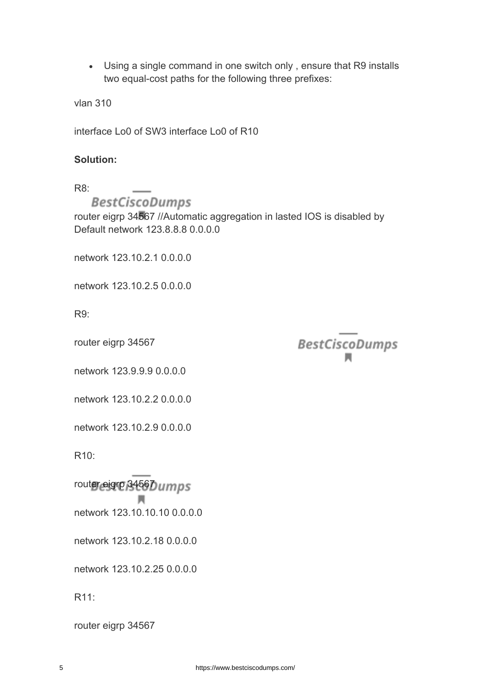• Using a single command in one switch only , ensure that R9 installs two equal-cost paths for the following three prefixes:

vlan 310

interface Lo0 of SW3 interface Lo0 of R10

#### **Solution:**

R8:

**BestCiscoDumps** 

router eigrp 34567 //Automatic aggregation in lasted IOS is disabled by Default network 123.8.8.8 0.0.0.0

network 123.10.2.1 0.0.0.0

network 123.10.2.5 0.0.0.0

R9:

router eigrp 34567

**BestCiscoDumps** 

network 123.9.9.9 0.0.0.0

network 123.10.2.2 0.0.0.0

network 123.10.2.9 0.0.0.0

R10:

router eigrp 3456Dumps

л network 123.10.10.10 0.0.0.0

network 123.10.2.18 0.0.0.0

network 123.10.2.25 0.0.0.0

R11:

router eigrp 34567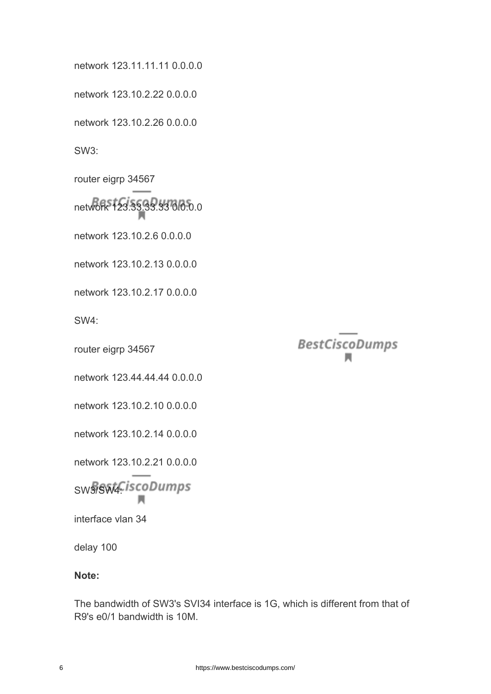6 https://www.bestciscodumps.com/

network 123.11.11.11 0.0.0.0

network 123.10.2.22 0.0.0.0

network 123.10.2.26 0.0.0.0

SW3:

router eigrp 34567

network 123.33.33.33 0.0.0.0

network 123.10.2.6 0.0.0.0

network 123.10.2.13 0.0.0.0

network 123.10.2.17 0.0.0.0

SW4:

router eigrp 34567

network 123.44.44.44 0.0.0.0

network 123.10.2.10 0.0.0.0

network 123.10.2.14 0.0.0.0

network 123.10.2.21 0.0.0.0

SW3/SW4CiscoDumps

interface vlan 34

delay 100

#### **Note:**

The bandwidth of SW3's SVI34 interface is 1G, which is different from that of R9's e0/1 bandwidth is 10M.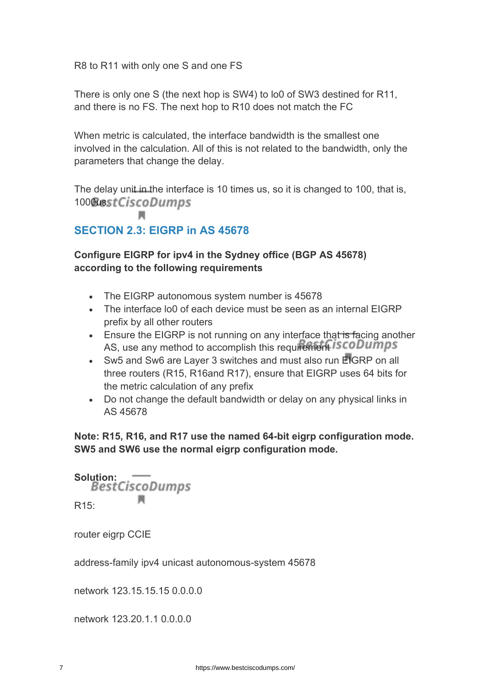R8 to R11 with only one S and one FS

There is only one S (the next hop is SW4) to lo0 of SW3 destined for R11, and there is no FS. The next hop to R10 does not match the FC

When metric is calculated, the interface bandwidth is the smallest one involved in the calculation. All of this is not related to the bandwidth, only the parameters that change the delay.

The delay unit in the interface is 10 times us, so it is changed to 100, that is, 1000asstCiscoDumps

# **SECTION 2.3: EIGRP in AS 45678**

## **Configure EIGRP for ipv4 in the Sydney office (BGP AS 45678) according to the following requirements**

- The EIGRP autonomous system number is 45678
- The interface lo0 of each device must be seen as an internal EIGRP prefix by all other routers
- Ensure the EIGRP is not running on any interface that is facing another AS, use any method to accomplish this requirement *iscoDumps*
- Sw5 and Sw6 are Layer 3 switches and must also run EIGRP on all three routers (R15, R16and R17), ensure that EIGRP uses 64 bits for the metric calculation of any prefix
- Do not change the default bandwidth or delay on any physical links in AS 45678

**Note: R15, R16, and R17 use the named 64-bit eigrp configuration mode. SW5 and SW6 use the normal eigrp configuration mode.**

Solution: **COLUTE**<br>BestCiscoDumps м R15:

router eigrp CCIE

address-family ipv4 unicast autonomous-system 45678

network 123.15.15.15 0.0.0.0

network 123.20.1.1 0.0.0.0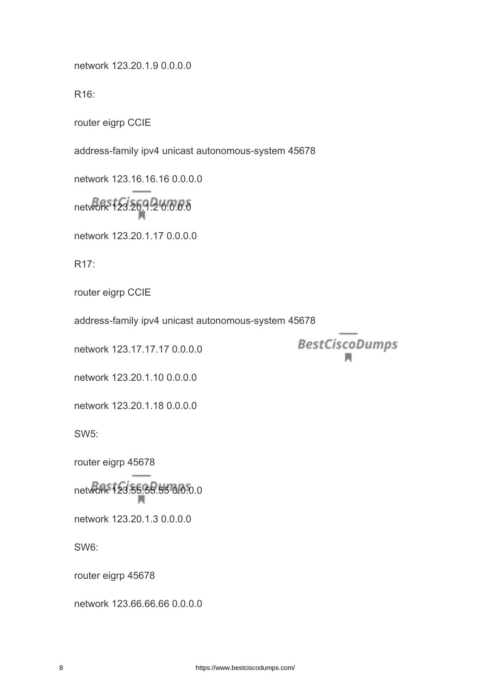network 123.20.1.9 0.0.0.0

R16:

router eigrp CCIE

address-family ipv4 unicast autonomous-system 45678

network 123.16.16.16 0.0.0.0

network 123.20.1.2 0.0.0.0

network 123.20.1.17 0.0.0.0

R17:

router eigrp CCIE

address-family ipv4 unicast autonomous-system 45678

network 123.17.17.17 0.0.0.0

network 123.20.1.10 0.0.0.0

network 123.20.1.18 0.0.0.0

SW5:

router eigrp 45678

network 123.55.55.55 0.0.0.0

network 123.20.1.3 0.0.0.0

SW6:

router eigrp 45678

network 123.66.66.66 0.0.0.0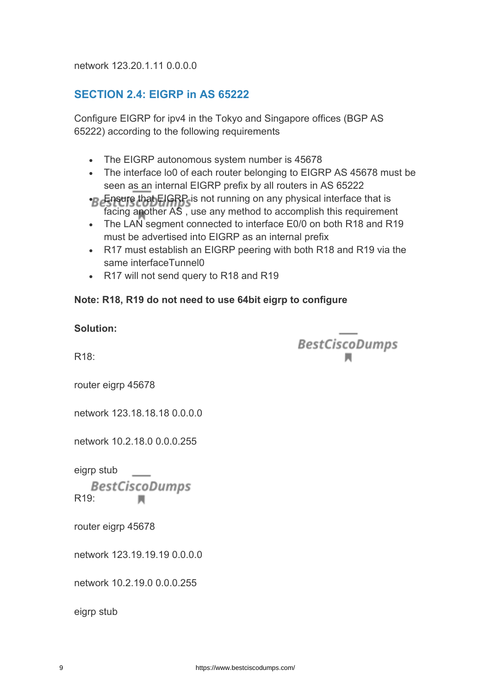network 123.20.1.11 0.0.0.0

# **SECTION 2.4: EIGRP in AS 65222**

Configure EIGRP for ipv4 in the Tokyo and Singapore offices (BGP AS 65222) according to the following requirements

- The EIGRP autonomous system number is 45678
- The interface lo0 of each router belonging to EIGRP AS 45678 must be seen as an internal EIGRP prefix by all routers in AS 65222
- Ensure that EIGRP is not running on any physical interface that is facing another AS , use any method to accomplish this requirement
- The LAN segment connected to interface E0/0 on both R18 and R19 must be advertised into EIGRP as an internal prefix
- R17 must establish an EIGRP peering with both R18 and R19 via the same interfaceTunnel0
- R17 will not send query to R18 and R19

#### **Note: R18, R19 do not need to use 64bit eigrp to configure**

| <b>Solution:</b>                                         |                       |
|----------------------------------------------------------|-----------------------|
| R <sub>18</sub> :                                        | <b>BestCiscoDumps</b> |
| router eigrp 45678                                       |                       |
| network 123.18.18.18 0.0.0.0                             |                       |
| network 10.2.18.0 0.0.0.255                              |                       |
| eigrp stub<br><b>BestCiscoDumps</b><br>R <sub>19</sub> : |                       |
| router eigrp 45678                                       |                       |
| network 123.19.19.19 0.0.0.0                             |                       |
| network 10.2.19.0 0.0.0.255                              |                       |
| eigrp stub                                               |                       |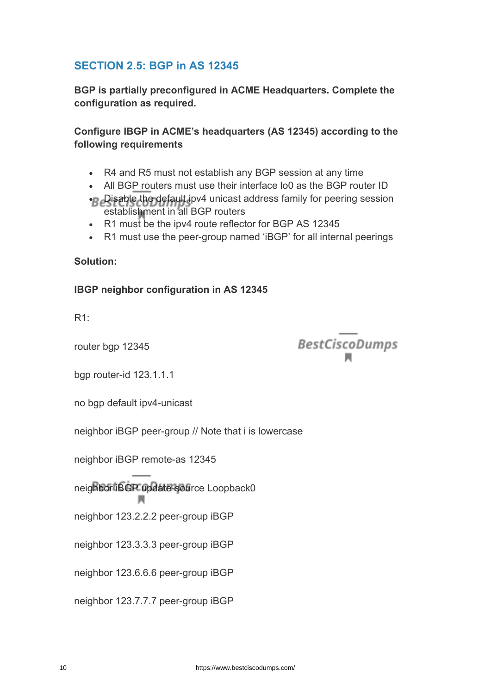# **SECTION 2.5: BGP in AS 12345**

**BGP is partially preconfigured in ACME Headquarters. Complete the configuration as required.**

**Configure IBGP in ACME's headquarters (AS 12345) according to the following requirements**

- R4 and R5 must not establish any BGP session at any time
- All BGP routers must use their interface lo0 as the BGP router ID
- Disable the default ipv4 unicast address family for peering session establishment in all BGP routers
- R1 must be the ipv4 route reflector for BGP AS 12345
- R1 must use the peer-group named 'iBGP' for all internal peerings

#### **Solution:**

#### **IBGP neighbor configuration in AS 12345**

R1:

router bgp 12345

**BestCiscoDumps** 

bgp router-id 123.1.1.1

no bgp default ipv4-unicast

neighbor iBGP peer-group // Note that i is lowercase

neighbor iBGP remote-as 12345

л

neighbor iBGP update-source Loopback0

neighbor 123.2.2.2 peer-group iBGP

neighbor 123.3.3.3 peer-group iBGP

neighbor 123.6.6.6 peer-group iBGP

neighbor 123.7.7.7 peer-group iBGP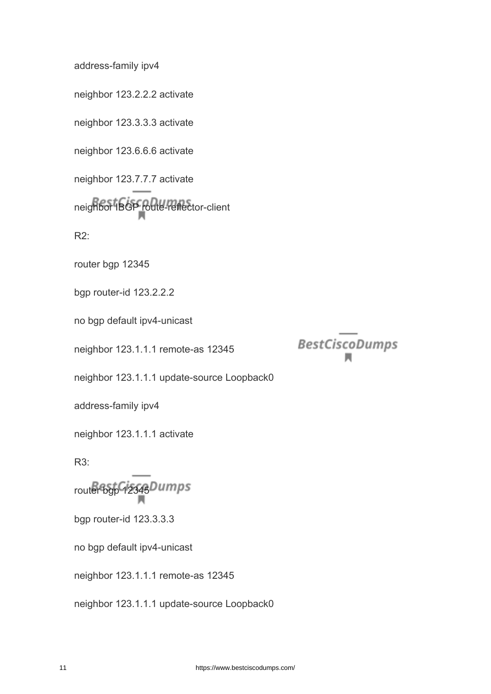address-family ipv4

neighbor 123.2.2.2 activate

neighbor 123.3.3.3 activate

neighbor 123.6.6.6 activate

neighbor 123.7.7.7 activate neighbor IBGP route-reflector-client

R2:

router bgp 12345

bgp router-id 123.2.2.2

no bgp default ipv4-unicast

neighbor 123.1.1.1 remote-as 12345

neighbor 123.1.1.1 update-source Loopback0

address-family ipv4

neighbor 123.1.1.1 activate

R3:

router bgp 12345Dumps

bgp router-id 123.3.3.3

no bgp default ipv4-unicast

neighbor 123.1.1.1 remote-as 12345

neighbor 123.1.1.1 update-source Loopback0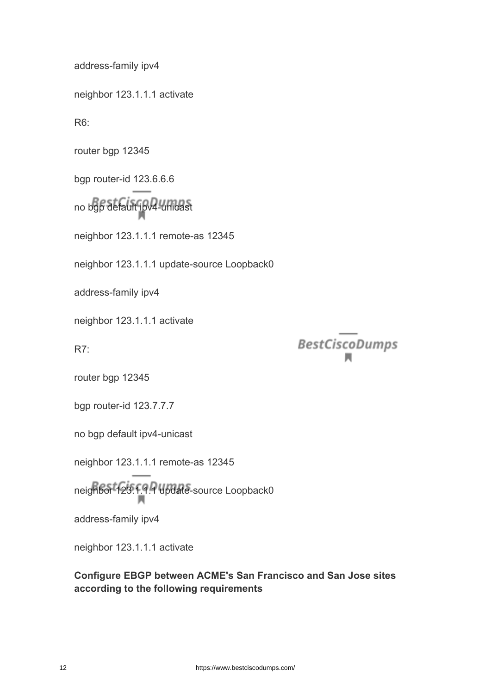address-family ipv4

neighbor 123.1.1.1 activate

R6:

router bgp 12345

bgp router-id 123.6.6.6

no bgp default ipv4-unicast

neighbor 123.1.1.1 remote-as 12345

neighbor 123.1.1.1 update-source Loopback0

address-family ipv4

neighbor 123.1.1.1 activate

R7:

**BestCiscoDumps** 

router bgp 12345

bgp router-id 123.7.7.7

no bgp default ipv4-unicast

neighbor 123.1.1.1 remote-as 12345

neighbor 123.1.1.1 update-source Loopback0

address-family ipv4

neighbor 123.1.1.1 activate

**Configure EBGP between ACME's San Francisco and San Jose sites according to the following requirements**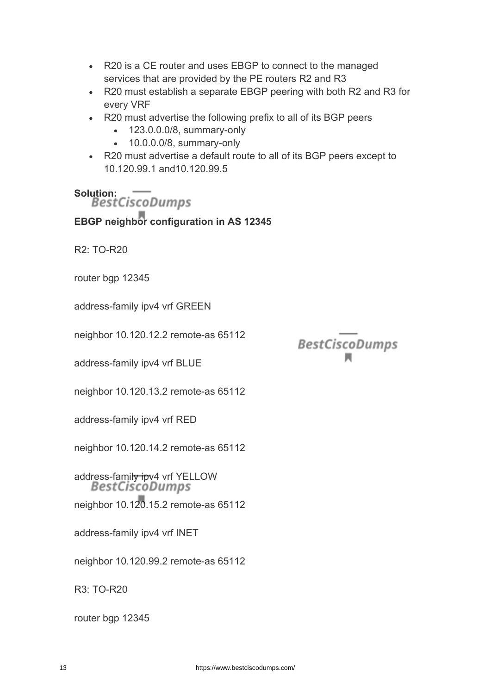- R20 is a CE router and uses EBGP to connect to the managed services that are provided by the PE routers R2 and R3
- R20 must establish a separate EBGP peering with both R2 and R3 for every VRF
- R20 must advertise the following prefix to all of its BGP peers
	- 123.0.0.0/8, summary-only
	- 10.0.0.0/8, summary-only
- R20 must advertise a default route to all of its BGP peers except to 10.120.99.1 and10.120.99.5

# Solution: –<br>BestCiscoDumps

**EBGP neighbor configuration in AS 12345**

R2: TO-R20

router bgp 12345

address-family ipv4 vrf GREEN

neighbor 10.120.12.2 remote-as 65112

address-family ipv4 vrf BLUE

neighbor 10.120.13.2 remote-as 65112

address-family ipv4 vrf RED

neighbor 10.120.14.2 remote-as 65112

address-family ipv4 vrf YELLOW<br>BestCiscoDumps

neighbor 10.120.15.2 remote-as 65112

address-family ipv4 vrf INET

neighbor 10.120.99.2 remote-as 65112

R3: TO-R20

router bgp 12345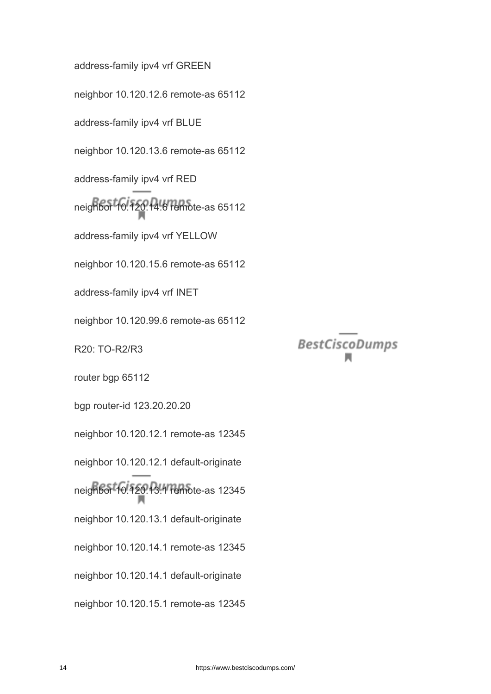address-family ipv4 vrf GREEN neighbor 10.120.12.6 remote-as 65112 address-family ipv4 vrf BLUE neighbor 10.120.13.6 remote-as 65112 address-family ipv4 vrf RED neighbor 10.120.14.6 remote-as 65112 address-family ipv4 vrf YELLOW neighbor 10.120.15.6 remote-as 65112 address-family ipv4 vrf INET neighbor 10.120.99.6 remote-as 65112 R20: TO-R2/R3 router bgp 65112 bgp router-id 123.20.20.20 neighbor 10.120.12.1 remote-as 12345 neighbor 10.120.12.1 default-originate neighbor 10.120.13.1 remote-as 12345 neighbor 10.120.13.1 default-originate neighbor 10.120.14.1 remote-as 12345 neighbor 10.120.14.1 default-originate neighbor 10.120.15.1 remote-as 12345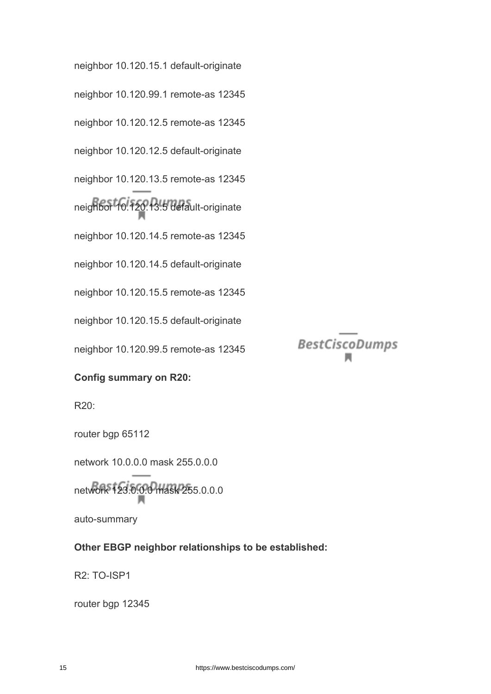neighbor 10.120.15.1 default-originate neighbor 10.120.99.1 remote-as 12345 neighbor 10.120.12.5 remote-as 12345 neighbor 10.120.12.5 default-originate neighbor 10.120.13.5 remote-as 12345 neighbor 10.120.13.5 default-originate neighbor 10.120.14.5 remote-as 12345 neighbor 10.120.14.5 default-originate neighbor 10.120.15.5 remote-as 12345 neighbor 10.120.15.5 default-originate neighbor 10.120.99.5 remote-as 12345

**BestCiscoDumps** 

#### **Config summary on R20:**

R20:

router bgp 65112

network 10.0.0.0 mask 255.0.0.0

network 123.0.0.0 mask 255.0.0.0

auto-summary

#### **Other EBGP neighbor relationships to be established:**

R2: TO-ISP1

router bgp 12345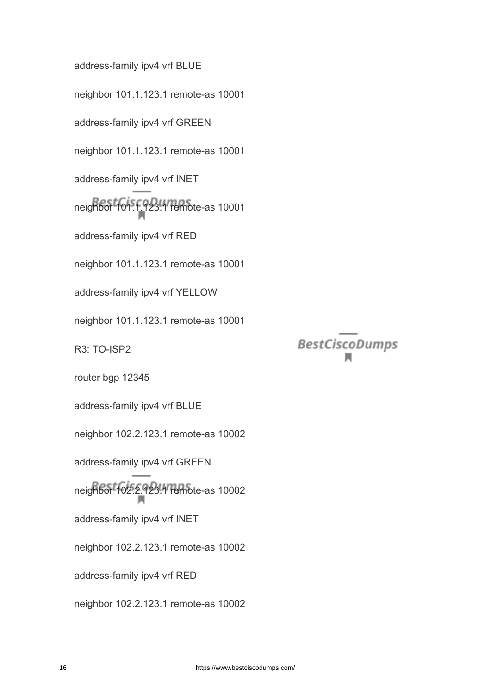address-family ipv4 vrf BLUE neighbor 101.1.123.1 remote-as 10001 address-family ipv4 vrf GREEN neighbor 101.1.123.1 remote-as 10001 address-family ipv4 vrf INET neighbor 101.1.123.1 remote-as 10001 address-family ipv4 vrf RED neighbor 101.1.123.1 remote-as 10001 address-family ipv4 vrf YELLOW neighbor 101.1.123.1 remote-as 10001 R3: TO-ISP2 router bgp 12345 address-family ipv4 vrf BLUE neighbor 102.2.123.1 remote-as 10002 address-family ipv4 vrf GREEN neighbor 102.2.123.1 remote-as 10002 address-family ipv4 vrf INET neighbor 102.2.123.1 remote-as 10002 address-family ipv4 vrf RED neighbor 102.2.123.1 remote-as 10002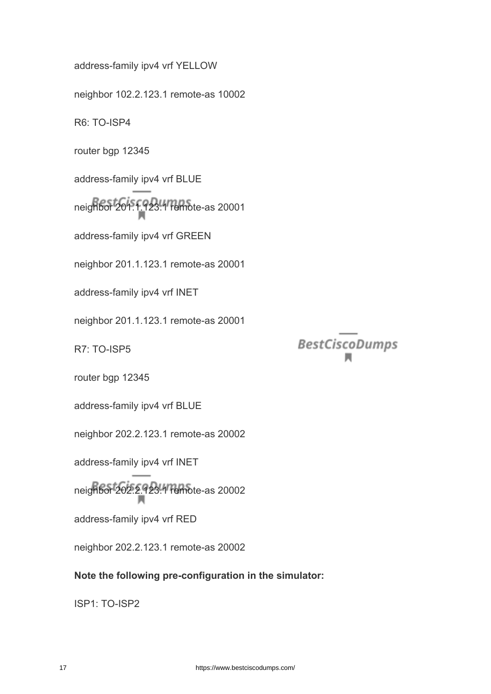address-family ipv4 vrf YELLOW neighbor 102.2.123.1 remote-as 10002 R6: TO-ISP4 router bgp 12345 address-family ipv4 vrf BLUE neighbor 201.1.123.1 remote-as 20001 address-family ipv4 vrf GREEN neighbor 201.1.123.1 remote-as 20001 address-family ipv4 vrf INET neighbor 201.1.123.1 remote-as 20001 R7: TO-ISP5 router bgp 12345 address-family ipv4 vrf BLUE neighbor 202.2.123.1 remote-as 20002 address-family ipv4 vrf INET neighbor 202.2.123.1 remote-as 20002 address-family ipv4 vrf RED neighbor 202.2.123.1 remote-as 20002 **Note the following pre-configuration in the simulator:**

ISP1: TO-ISP2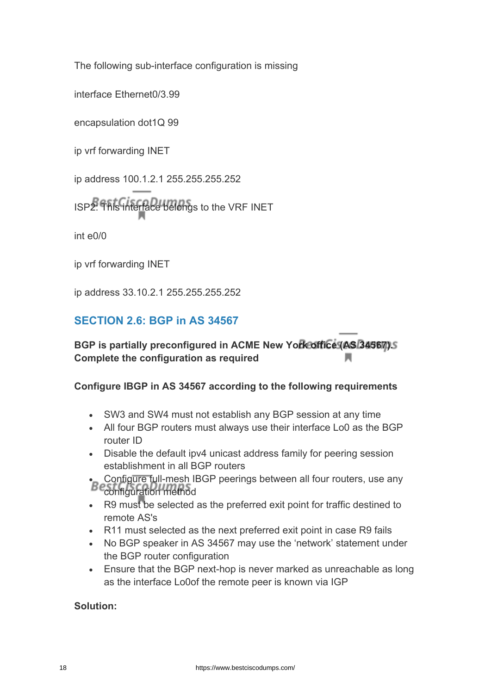The following sub-interface configuration is missing

interface Ethernet0/3.99

encapsulation dot1Q 99

ip vrf forwarding INET

ip address 100.1.2.1 255.255.255.252

ISP2: This interface belongs to the VRF INET

int e0/0

ip vrf forwarding INET

ip address 33.10.2.1 255.255.255.252

## **SECTION 2.6: BGP in AS 34567**

**BGP is partially preconfigured in ACME New York office (AS 34567). Complete the configuration as required**

#### **Configure IBGP in AS 34567 according to the following requirements**

- SW3 and SW4 must not establish any BGP session at any time
- All four BGP routers must always use their interface Lo0 as the BGP router ID
- Disable the default ipv4 unicast address family for peering session establishment in all BGP routers
- Configure full-mesh IBGP peerings between all four routers, use any configuration method
- R9 must be selected as the preferred exit point for traffic destined to remote AS's
- R11 must selected as the next preferred exit point in case R9 fails
- No BGP speaker in AS 34567 may use the 'network' statement under the BGP router configuration
- Ensure that the BGP next-hop is never marked as unreachable as long as the interface Lo0of the remote peer is known via IGP

#### **Solution:**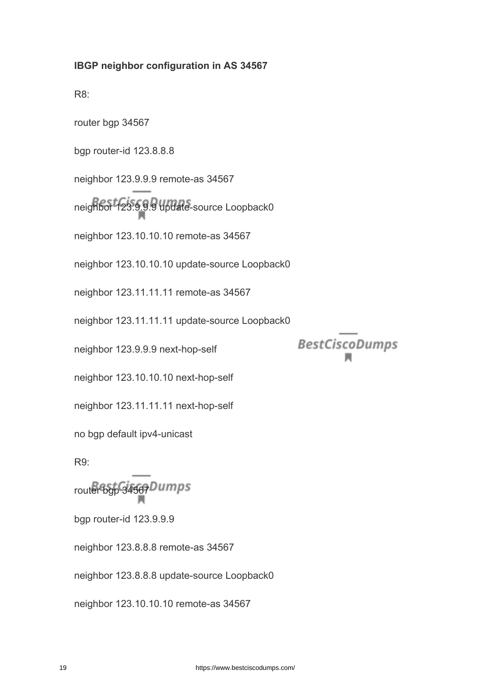#### **IBGP neighbor configuration in AS 34567**

R8:

router bgp 34567

bgp router-id 123.8.8.8

neighbor 123.9.9.9 remote-as 34567

neighbor 123.9.9.9 update-source Loopback0

neighbor 123.10.10.10 remote-as 34567

neighbor 123.10.10.10 update-source Loopback0

neighbor 123.11.11.11 remote-as 34567

neighbor 123.11.11.11 update-source Loopback0

neighbor 123.9.9.9 next-hop-self

neighbor 123.10.10.10 next-hop-self

neighbor 123.11.11.11 next-hop-self

no bgp default ipv4-unicast

R9:

router bgp 34567Dumps

bgp router-id 123.9.9.9

neighbor 123.8.8.8 remote-as 34567

neighbor 123.8.8.8 update-source Loopback0

neighbor 123.10.10.10 remote-as 34567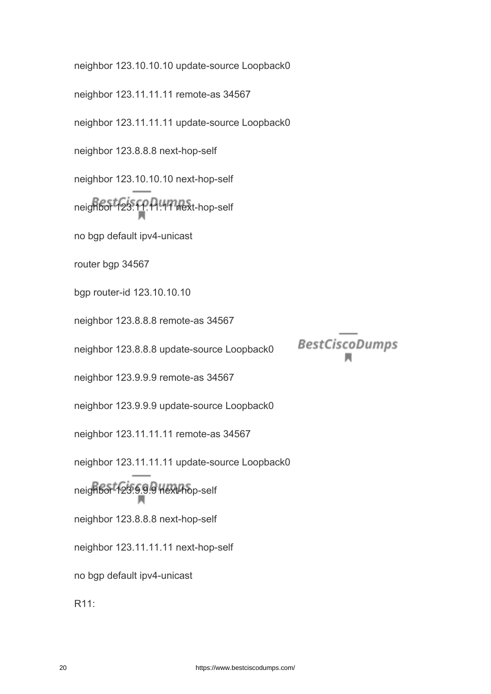neighbor 123.10.10.10 update-source Loopback0 neighbor 123.11.11.11 remote-as 34567 neighbor 123.11.11.11 update-source Loopback0 neighbor 123.8.8.8 next-hop-self neighbor 123.10.10.10 next-hop-self neighbor 123.11.11.11 next-hop-self no bgp default ipv4-unicast router bgp 34567 bgp router-id 123.10.10.10 neighbor 123.8.8.8 remote-as 34567 **BestCiscoDumps** neighbor 123.8.8.8 update-source Loopback0 neighbor 123.9.9.9 remote-as 34567 neighbor 123.9.9.9 update-source Loopback0 neighbor 123.11.11.11 remote-as 34567 neighbor 123.11.11.11 update-source Loopback0 neighbor 123.9.9.9 next-hop-self neighbor 123.8.8.8 next-hop-self neighbor 123.11.11.11 next-hop-self no bgp default ipv4-unicast R11: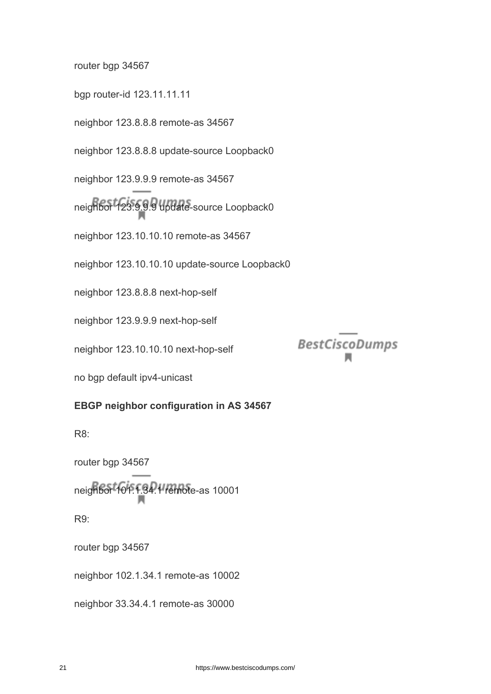router bgp 34567

bgp router-id 123.11.11.11

neighbor 123.8.8.8 remote-as 34567

neighbor 123.8.8.8 update-source Loopback0

neighbor 123.9.9.9 remote-as 34567

neighbor 123.9.9.9 update-source Loopback0

neighbor 123.10.10.10 remote-as 34567

neighbor 123.10.10.10 update-source Loopback0

neighbor 123.8.8.8 next-hop-self

neighbor 123.9.9.9 next-hop-self

neighbor 123.10.10.10 next-hop-self

no bgp default ipv4-unicast

#### **EBGP neighbor configuration in AS 34567**

R8:

router bgp 34567

neighbor 101.1.34.1 remote-as 10001

R9:

router bgp 34567

neighbor 102.1.34.1 remote-as 10002

neighbor 33.34.4.1 remote-as 30000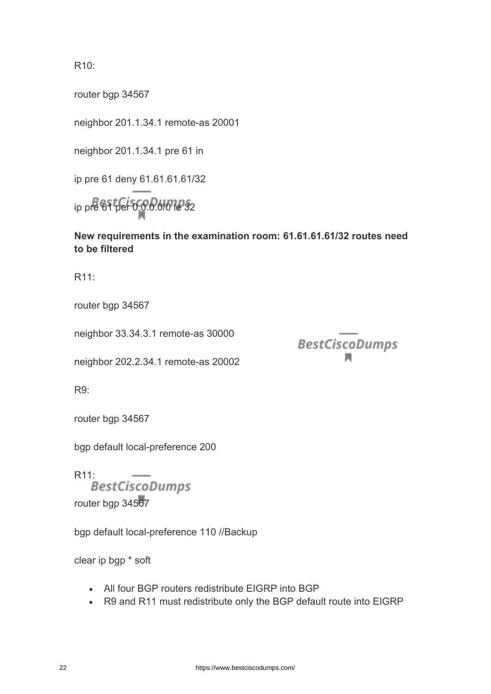R10:

router bgp 34567

neighbor 201.1.34.1 remote-as 20001

neighbor 201.1.34.1 pre 61 in

ip pre 61 deny 61.61.61.61/32

ip pre 61 per 0.0.0.0/0 le 32

**New requirements in the examination room: 61.61.61.61/32 routes need to be filtered**

**BestCiscoDumps** 

R11:

router bgp 34567

neighbor 33.34.3.1 remote-as 30000

neighbor 202.2.34.1 remote-as 20002

R9:

router bgp 34567

bgp default local-preference 200

R11: router bap 34567

bgp default local-preference 110 //Backup

clear ip bgp \* soft

- All four BGP routers redistribute EIGRP into BGP
- R9 and R11 must redistribute only the BGP default route into EIGRP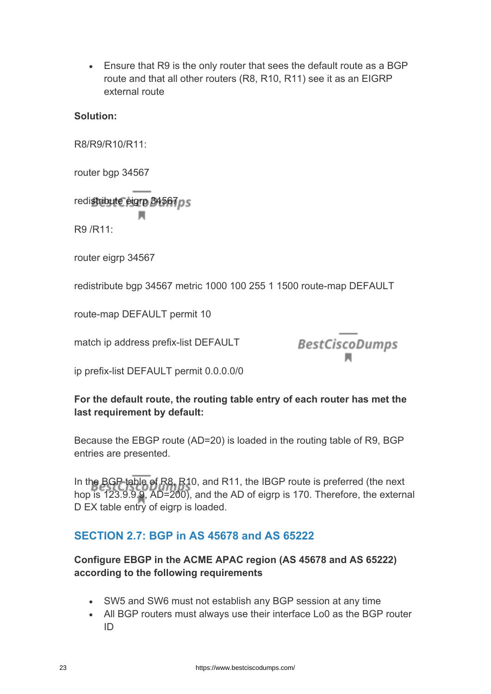• Ensure that R9 is the only router that sees the default route as a BGP route and that all other routers (R8, R10, R11) see it as an EIGRP external route

#### **Solution:**

R8/R9/R10/R11:

router bgp 34567

redistribute eigrp 34567 ps

R9 /R11:

router eigrp 34567

redistribute bgp 34567 metric 1000 100 255 1 1500 route-map DEFAULT

route-map DEFAULT permit 10

match ip address prefix-list DEFAULT



ip prefix-list DEFAULT permit 0.0.0.0/0

### **For the default route, the routing table entry of each router has met the last requirement by default:**

Because the EBGP route (AD=20) is loaded in the routing table of R9, BGP entries are presented.

In the BGP table of R8, R10, and R11, the IBGP route is preferred (the next hop is 123.9.9.9, AD=200), and the AD of eigrp is 170. Therefore, the external D EX table entry of eigrp is loaded.

## **SECTION 2.7: BGP in AS 45678 and AS 65222**

### **Configure EBGP in the ACME APAC region (AS 45678 and AS 65222) according to the following requirements**

- SW5 and SW6 must not establish any BGP session at any time
- All BGP routers must always use their interface Lo0 as the BGP router ID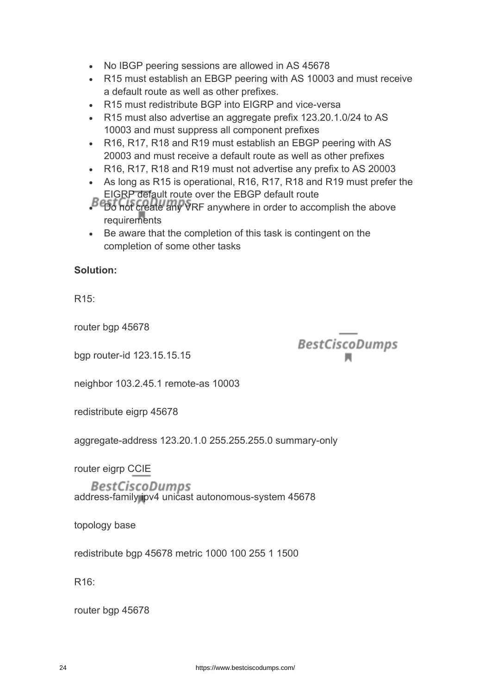- No IBGP peering sessions are allowed in AS 45678
- R15 must establish an EBGP peering with AS 10003 and must receive a default route as well as other prefixes.
- R15 must redistribute BGP into EIGRP and vice-versa
- R15 must also advertise an aggregate prefix 123.20.1.0/24 to AS 10003 and must suppress all component prefixes
- R16, R17, R18 and R19 must establish an EBGP peering with AS 20003 and must receive a default route as well as other prefixes
- R16, R17, R18 and R19 must not advertise any prefix to AS 20003
- As long as R15 is operational, R16, R17, R18 and R19 must prefer the EIGRP default route over the EBGP default route
- Do not create any VRF anywhere in order to accomplish the above requirements
- Be aware that the completion of this task is contingent on the completion of some other tasks

#### **Solution:**

R15:

router bgp 45678

bgp router-id 123.15.15.15

**BestCiscoDumps** 

neighbor 103.2.45.1 remote-as 10003

redistribute eigrp 45678

aggregate-address 123.20.1.0 255.255.255.0 summary-only

router eigrp CCIE

*BestCiscoDumps* address-family ipv4 unicast autonomous-system 45678

topology base

redistribute bgp 45678 metric 1000 100 255 1 1500

R16:

router bgp 45678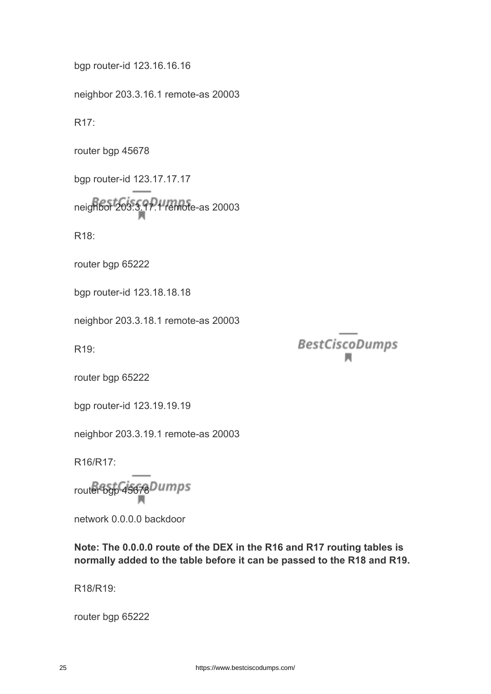bgp router-id 123.16.16.16

neighbor 203.3.16.1 remote-as 20003

R17:

router bgp 45678

bgp router-id 123.17.17.17 neighbor 203.3.17.1 remote-as 20003

R18:

router bgp 65222

bgp router-id 123.18.18.18

neighbor 203.3.18.1 remote-as 20003

R19:

**BestCiscoDumps** 

router bgp 65222

bgp router-id 123.19.19.19

neighbor 203.3.19.1 remote-as 20003

R16/R17:

router bgp 45678Dumps

network 0.0.0.0 backdoor

**Note: The 0.0.0.0 route of the DEX in the R16 and R17 routing tables is normally added to the table before it can be passed to the R18 and R19.**

R18/R19:

router bgp 65222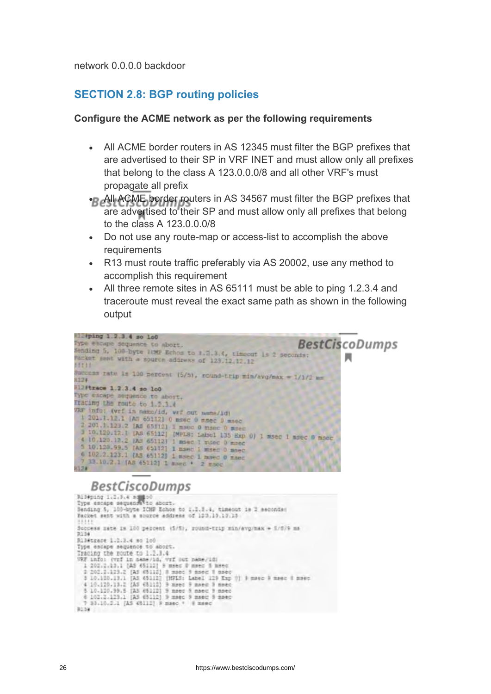network 0.0.0.0 backdoor

#### **SECTION 2.8: BGP routing policies**

#### **Configure the ACME network as per the following requirements**

- All ACME border routers in AS 12345 must filter the BGP prefixes that are advertised to their SP in VRF INET and must allow only all prefixes that belong to the class A 123.0.0.0/8 and all other VRF's must propagate all prefix
- All ACME border routers in AS 34567 must filter the BGP prefixes that are advertised to their SP and must allow only all prefixes that belong to the class A 123.0.0.0/8
- Do not use any route-map or access-list to accomplish the above requirements
- R13 must route traffic preferably via AS 20002, use any method to accomplish this requirement
- All three remote sites in AS 65111 must be able to ping 1.2.3.4 and traceroute must reveal the exact same path as shown in the following output

```
Elatping 1.2.3.4 so lo0
                                                                              BestCiscoDumps
Type escape sequence to abort.
Sending 5, 100 byte 10MP Echos to 1.2.3.4, timeout is 2 seconds:
Parket sent with a source address of 123.12.12.12
55311
Success rate is 100 percent (5/5), round-trip min/avg/max = 1/1/2 mm
8127
112 Pizzoe 1.2.3.4 so 100
Type escape sequence to abort.
Tracing the route to 1.2.3.4
VRF info: (vrf in name/id, vrf out name/id)
 1 201-1-12.1 [An 65112] 0 msec 0 msec 0 msec
 1 201-1.12.1 [AT 65112] 0 msec 0 msec 0 msec<br>
2 201.1.123.2 [AS 65112] 1 msec 0 msec 0 msec<br>
1 0.120.12.1 [AS 65112] [MFLS: Labul 135 Exp 0] 1 msec 1 msec 0 msec<br>
4 10.120.12.2 [Ad 65112] 1 msec 1 msec 0 msec<br>
5 10.120.99.
  7 13.10.2.1 (AS 65112) 1 maps * 2 msec
8128
```

```
Rileping 1.2.3.4 as Not<br>Type escape sequence to about.<br>Sending 5, 100-byte ICHF Echos to 1.2.3.4, timeout is 2 seconds:<br>Facket sent with a source address of 123.13.13.13
Success zate in 100 percent (5/5), round-trip min/avg/max = 5/6/9 mm
 R134
R13#trace 1.2.3.4 so 100
Type escape sequence to abort.<br>Tracing the route to 1.1.1.4
Tracing the route to 1.2.3.4<br>
737 info: (727 in name/1d; 777 put name/1d;<br>
1 202.2.12.1 [AS 65112] 5 maes 0 maes 5 maes<br>
2 202.2.123.2 [AS 65112] 3 maes 5 maes 8 maes<br>
3 10.120.11.1 [AS 65112] [MFLS: Label 129 Exp (1) 9 ma
0334
```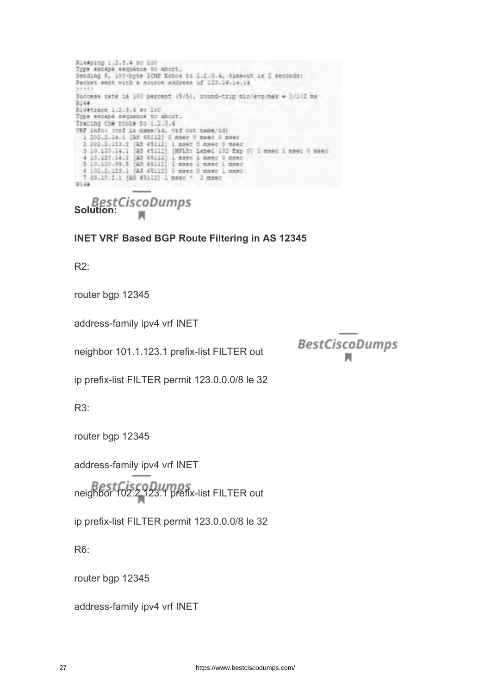Ri4#ping 1.2.3.4 so 160 Type escape sequence to abort.<br>Sending 5, 100-byte ICMP Echos to 1.2.5.4, timeout is 2 seconds:<br>Packet sent with a source address of 123.14.14.14 Success rate is 100 percent (5/5), round-trip min/avg/max = 1/1/2 mm 3546 Ri4#trace 1.2.3.4 so ic0 Type ascape asquance to abort.<br>Tracing the route to 1.1.3.4 VRF info: (vrf in name/14, vrf out name/14)<br>
1 202.5.14.1 [AS 45112] 0 mser 0 msec 0 msec<br>
2 203.5.1133.2 [AS 45112] 1 mser 0 msec 0 msec<br>
3 10.120.14.1 [AS 45112] [KPLS: Label 132 Exp 0] 1 msec 1 msec 0 msec<br>
4 10.200.14. 7 88.10.2.1 (AS 65112) 1 msec \* 2 msec  $8144$ 

**Solution:**

**INET VRF Based BGP Route Filtering in AS 12345**

R2:

router bgp 12345

address-family ipv4 vrf INET

neighbor 101.1.123.1 prefix-list FILTER out

**BestCiscoDumps** 

ip prefix-list FILTER permit 123.0.0.0/8 le 32

R3:

router bgp 12345

address-family ipv4 vrf INET

neighbor 102.2.123.1 prefix-list FILTER out

ip prefix-list FILTER permit 123.0.0.0/8 le 32

R6:

router bgp 12345

address-family ipv4 vrf INET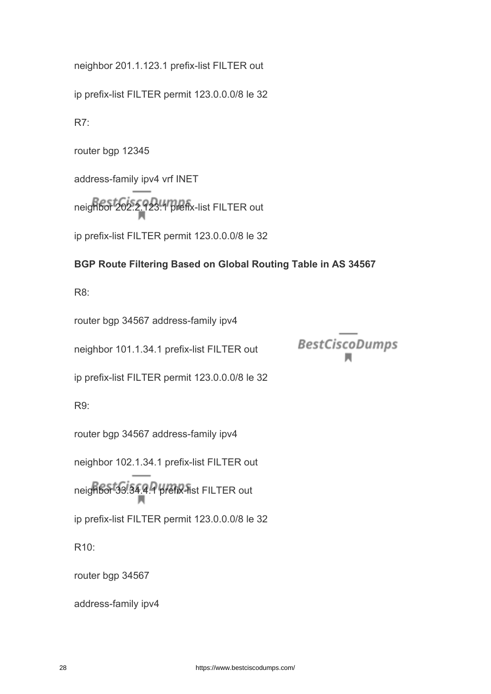neighbor 201.1.123.1 prefix-list FILTER out

ip prefix-list FILTER permit 123.0.0.0/8 le 32

R7:

router bgp 12345

address-family ipv4 vrf INET

neighbor 202.2.123.1 prefix-list FILTER out

ip prefix-list FILTER permit 123.0.0.0/8 le 32

#### **BGP Route Filtering Based on Global Routing Table in AS 34567**

**BestCiscoDumps** 

R8:

router bgp 34567 address-family ipv4

neighbor 101.1.34.1 prefix-list FILTER out

ip prefix-list FILTER permit 123.0.0.0/8 le 32

R9:

router bgp 34567 address-family ipv4

neighbor 102.1.34.1 prefix-list FILTER out

neighbor 33.34.4.1 prefix-list FILTER out

ip prefix-list FILTER permit 123.0.0.0/8 le 32

R10:

router bgp 34567

address-family ipv4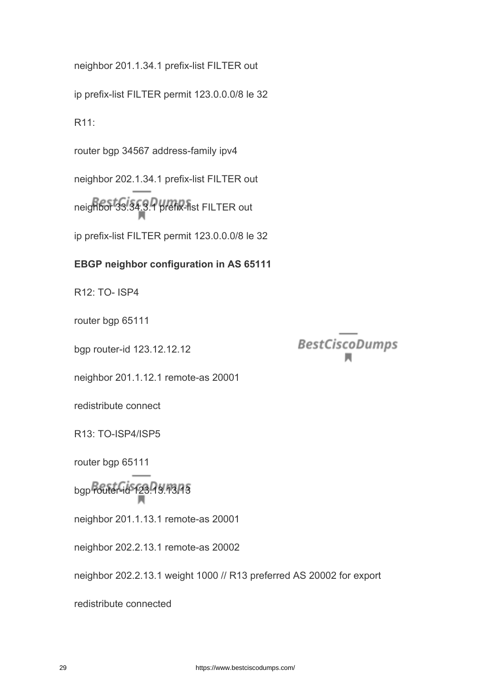neighbor 201.1.34.1 prefix-list FILTER out

ip prefix-list FILTER permit 123.0.0.0/8 le 32

R11:

router bgp 34567 address-family ipv4

neighbor 202.1.34.1 prefix-list FILTER out neighbor 33.34.3.1 prefix-list FILTER out ip prefix-list FILTER permit 123.0.0.0/8 le 32

### **EBGP neighbor configuration in AS 65111**

R12: TO- ISP4

router bgp 65111

bgp router-id 123.12.12.12

**BestCiscoDumps** 

neighbor 201.1.12.1 remote-as 20001

redistribute connect

R13: TO-ISP4/ISP5

router bgp 65111

bgp router-id 123.13.13.13

neighbor 201.1.13.1 remote-as 20001

neighbor 202.2.13.1 remote-as 20002

neighbor 202.2.13.1 weight 1000 // R13 preferred AS 20002 for export

redistribute connected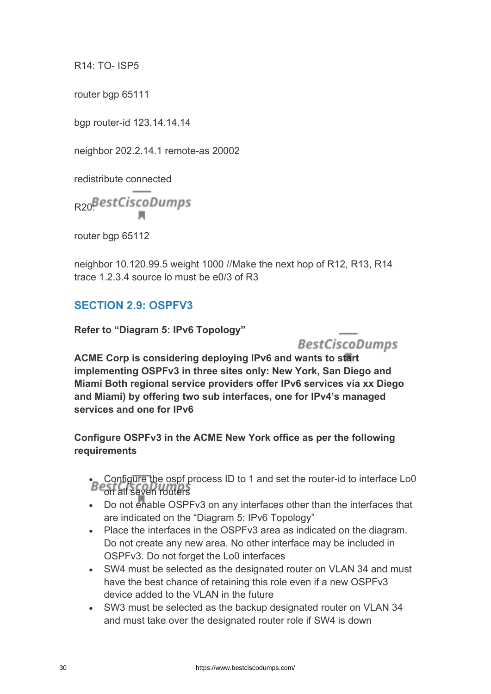R14: TO- ISP5

router bgp 65111

bgp router-id 123.14.14.14

neighbor 202.2.14.1 remote-as 20002

redistribute connected

R20<sup>BestCiscoDumps</sup>

router bgp 65112

neighbor 10.120.99.5 weight 1000 //Make the next hop of R12, R13, R14 trace 1.2.3.4 source lo must be  $e^{0/3}$  of R3

# **SECTION 2.9: OSPFV3**

**Refer to "Diagram 5: IPv6 Topology"**

**BestCiscoDumps** 

**ACME Corp is considering deploying IPv6 and wants to start implementing OSPFv3 in three sites only: New York, San Diego and Miami Both regional service providers offer IPv6 services via xx Diego and Miami) by offering two sub interfaces, one for IPv4's managed services and one for IPv6**

**Configure OSPFv3 in the ACME New York office as per the following requirements**

• Configure the ospf process ID to 1 and set the router-id to interface Lo0 on all seven routers

- Do not enable OSPFv3 on any interfaces other than the interfaces that are indicated on the "Diagram 5: IPv6 Topology"
- Place the interfaces in the OSPFv3 area as indicated on the diagram. Do not create any new area. No other interface may be included in OSPFv3. Do not forget the Lo0 interfaces
- SW4 must be selected as the designated router on VLAN 34 and must have the best chance of retaining this role even if a new OSPFv3 device added to the VLAN in the future
- SW3 must be selected as the backup designated router on VLAN 34 and must take over the designated router role if SW4 is down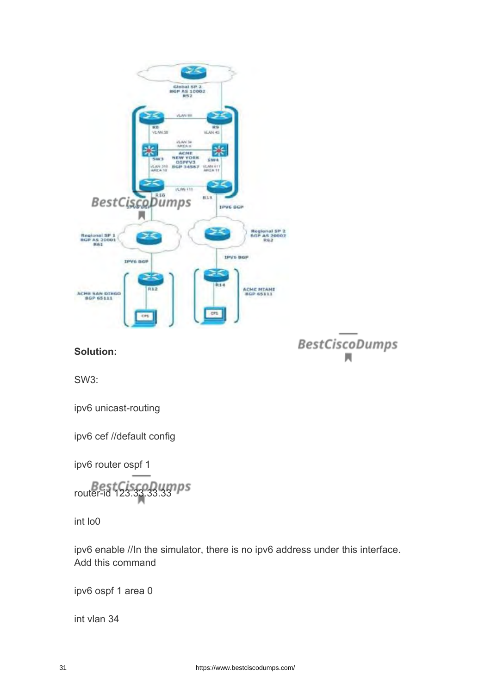

**Solution:**

BestCiscoDumps

SW3:

ipv6 unicast-routing

ipv6 cef //default config

ipv6 router ospf 1

router-id 123.33.33.33

int lo0

ipv6 enable //In the simulator, there is no ipv6 address under this interface. Add this command

ipv6 ospf 1 area 0

int vlan 34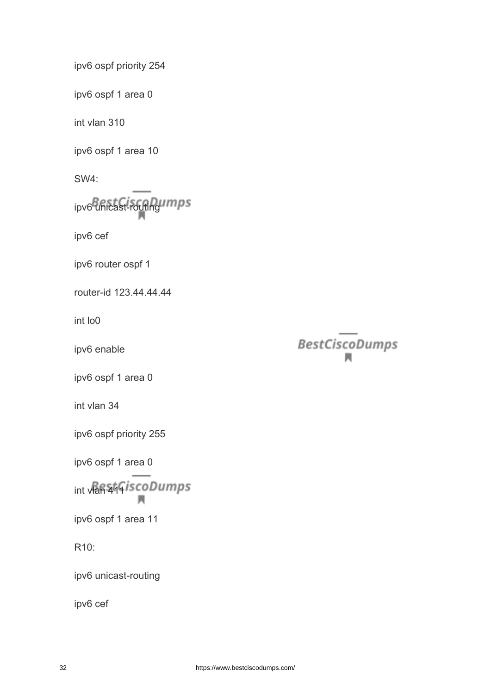ipv6 ospf priority 254

ipv6 ospf 1 area 0

int vlan 310

ipv6 ospf 1 area 10

SW4:

ipv6 unicast-routing umps

ipv6 cef

ipv6 router ospf 1

router-id 123.44.44.44

int lo0

ipv6 enable

ipv6 ospf 1 area 0

int vlan 34

ipv6 ospf priority 255

ipv6 ospf 1 area 0

int vlan 444 is coDumps м

ipv6 ospf 1 area 11

R10:

ipv6 unicast-routing

ipv6 cef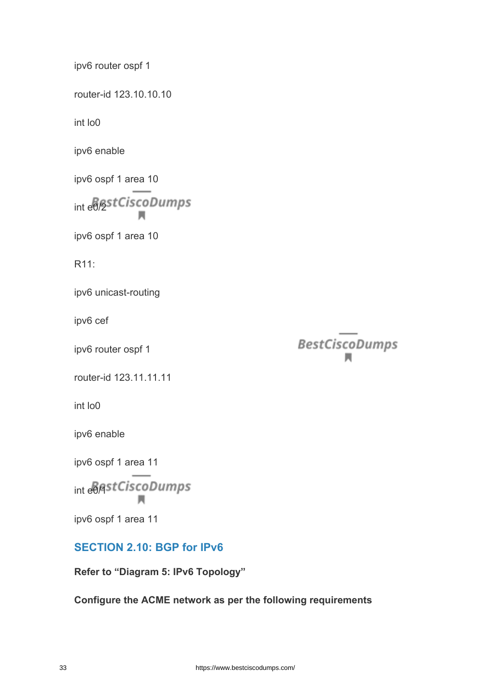ipv6 router ospf 1

router-id 123.10.10.10

int lo0

ipv6 enable

ipv6 ospf 1 area 10

int e<sup>8</sup>/2stCiscoDumps

ipv6 ospf 1 area 10

R11:

ipv6 unicast-routing

ipv6 cef

ipv6 router ospf 1

router-id 123.11.11.11

int lo0

ipv6 enable

ipv6 ospf 1 area 11

int e<sup>6</sup>/3stCiscoDumps м

ipv6 ospf 1 area 11

## **SECTION 2.10: BGP for IPv6**

**Refer to "Diagram 5: IPv6 Topology"**

**Configure the ACME network as per the following requirements**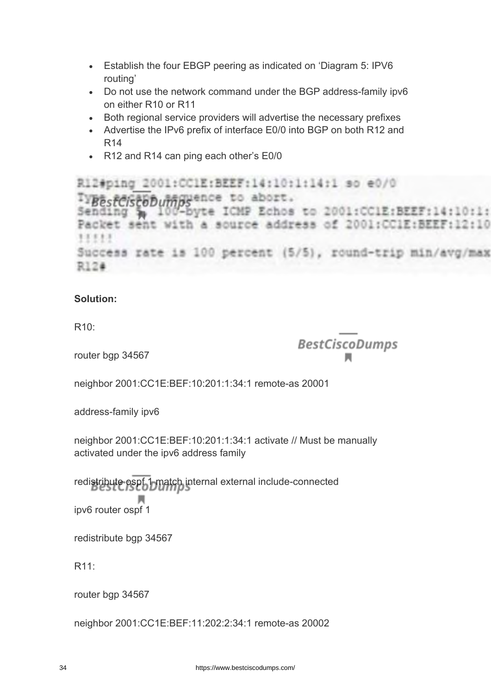- Establish the four EBGP peering as indicated on 'Diagram 5: IPV6 routing'
- Do not use the network command under the BGP address-family ipv6 on either R10 or R11
- Both regional service providers will advertise the necessary prefixes
- Advertise the IPv6 prefix of interface E0/0 into BGP on both R12 and R14
- R12 and R14 can ping each other's E0/0

R12#ping 2001:CC1E:BEEF:14:10:1:14:1 so e0/0 PrestCistobumpyence to abort. Sending & 100-byte ICMP Echos to 2001:CCIE:BEEF:14:10:1: Packet sent with a source address of 2001:CCIE:BEEF:12:10 11111 Success rate is 100 percent (5/5), round-trip min/avg/max R12#

#### **Solution:**

R10:

router bgp 34567

BestCiscoDumps

neighbor 2001:CC1E:BEF:10:201:1:34:1 remote-as 20001

address-family ipv6

neighbor 2001:CC1E:BEF:10:201:1:34:1 activate // Must be manually activated under the ipv6 address family

redistribute ospf 1 match internal external include-connected ipv6 router ospf 1

redistribute bap 34567

R11:

router bgp 34567

neighbor 2001:CC1E:BEF:11:202:2:34:1 remote-as 20002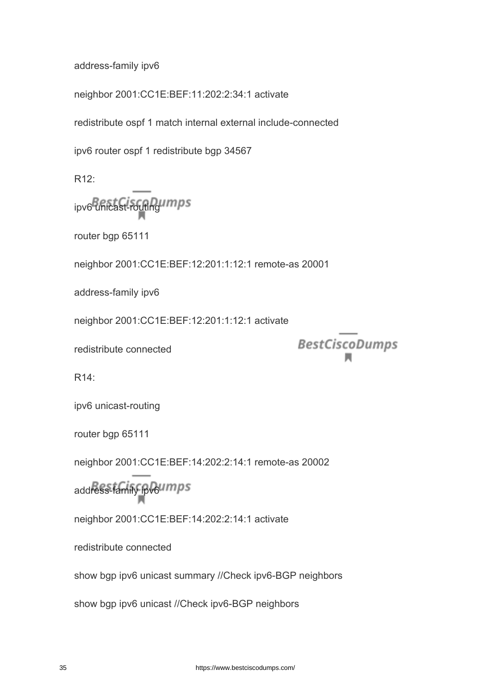address-family ipv6

neighbor 2001:CC1E:BEF:11:202:2:34:1 activate

redistribute ospf 1 match internal external include-connected

ipv6 router ospf 1 redistribute bgp 34567

R12:

ipv6 unicast-routing umps

router bgp 65111

neighbor 2001:CC1E:BEF:12:201:1:12:1 remote-as 20001

address-family ipv6

neighbor 2001:CC1E:BEF:12:201:1:12:1 activate

redistribute connected

**BestCiscoDumps** 

 $R14$ 

ipv6 unicast-routing

router bgp 65111

neighbor 2001:CC1E:BEF:14:202:2:14:1 remote-as 20002

address-family ipv6umps

neighbor 2001:CC1E:BEF:14:202:2:14:1 activate

redistribute connected

show bgp ipv6 unicast summary //Check ipv6-BGP neighbors

show bgp ipv6 unicast //Check ipv6-BGP neighbors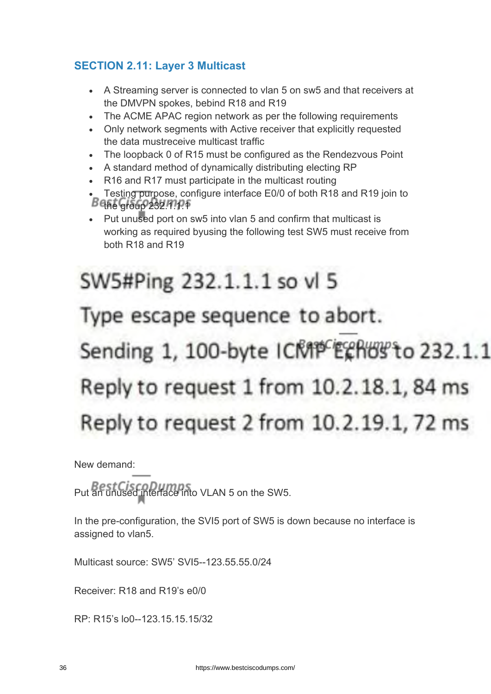# **SECTION 2.11: Layer 3 Multicast**

- A Streaming server is connected to vlan 5 on sw5 and that receivers at the DMVPN spokes, bebind R18 and R19
- The ACME APAC region network as per the following requirements
- Only network segments with Active receiver that explicitly requested the data mustreceive multicast traffic
- The loopback 0 of R15 must be configured as the Rendezvous Point
- A standard method of dynamically distributing electing RP
- R16 and R17 must participate in the multicast routing
- Testing purpose, configure interface E0/0 of both R18 and R19 join to  $B$ <sup>Q</sup> $A$ <sub>e</sub> group 232.11.1.1
- Put unused port on sw5 into vlan 5 and confirm that multicast is working as required byusing the following test SW5 must receive from both R18 and R19

# SW5#Ping 232.1.1.1 so vl 5 Type escape sequence to abort. Sending 1, 100-byte ICMP Echos to 232.1.1 Reply to request 1 from 10.2.18.1, 84 ms Reply to request 2 from 10.2.19.1, 72 ms

New demand:

Put an unused interface into VLAN 5 on the SW5.

In the pre-configuration, the SVI5 port of SW5 is down because no interface is assigned to vlan5.

Multicast source: SW5' SVI5--123.55.55.0/24

Receiver: R18 and R19's e0/0

RP: R15's lo0--123.15.15.15/32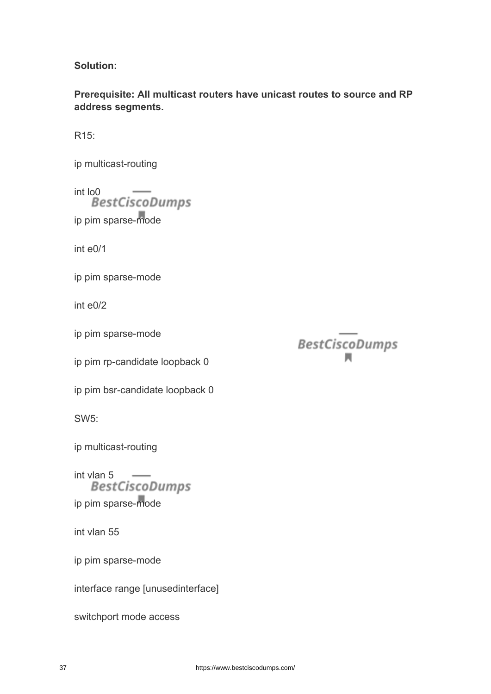**Solution:**

**Prerequisite: All multicast routers have unicast routes to source and RP address segments.**

R15:

ip multicast-routing

int lo0 ip pim sparse-mode

int e0/1

ip pim sparse-mode

int e0/2

ip pim sparse-mode

ip pim rp-candidate loopback 0

ip pim bsr-candidate loopback 0

SW5:

ip multicast-routing

int vlan 5 ip pim sparse-mode

int vlan 55

ip pim sparse-mode

interface range [unusedinterface]

switchport mode access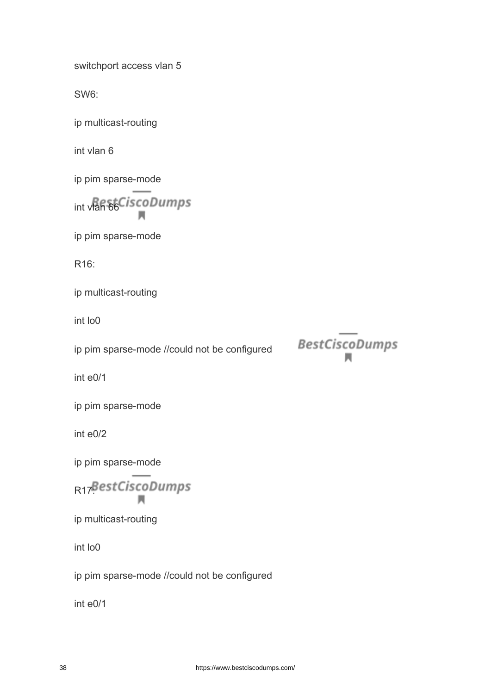switchport access vlan 5

SW6:

ip multicast-routing

int vlan 6

ip pim sparse-mode

int vlan 66CiscoDumps

ip pim sparse-mode

R16:

ip multicast-routing

int lo0

ip pim sparse-mode //could not be configured

**BestCiscoDumps** 

int e0/1

ip pim sparse-mode

int e0/2

ip pim sparse-mode

R<sub>17</sub>BestCiscoDumps м

ip multicast-routing

int lo0

ip pim sparse-mode //could not be configured

int e0/1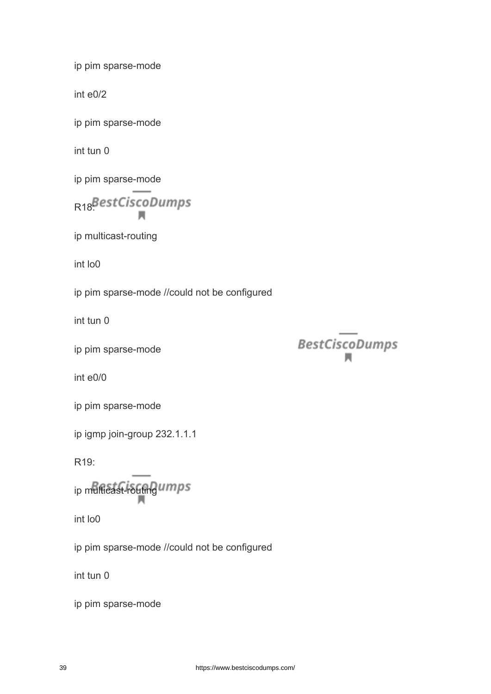ip pim sparse-mode

int e0/2

ip pim sparse-mode

int tun 0

ip pim sparse-mode

R<sub>18</sub>BestCiscoDumps

ip multicast-routing

int lo0

ip pim sparse-mode //could not be configured

int tun 0

ip pim sparse-mode

int e0/0

ip pim sparse-mode

ip igmp join-group 232.1.1.1

R19:

ip multicast-routing umps

int lo0

ip pim sparse-mode //could not be configured

int tun 0

ip pim sparse-mode